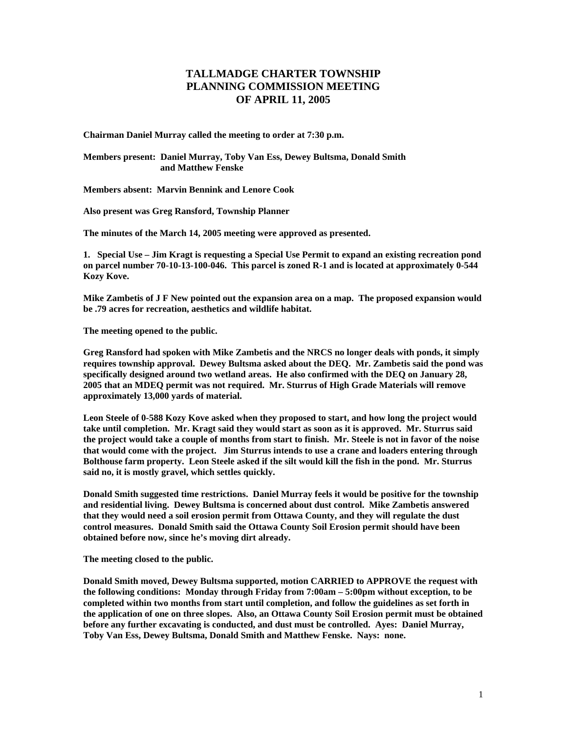## **TALLMADGE CHARTER TOWNSHIP PLANNING COMMISSION MEETING OF APRIL 11, 2005**

**Chairman Daniel Murray called the meeting to order at 7:30 p.m.** 

**Members present: Daniel Murray, Toby Van Ess, Dewey Bultsma, Donald Smith and Matthew Fenske** 

**Members absent: Marvin Bennink and Lenore Cook** 

**Also present was Greg Ransford, Township Planner** 

**The minutes of the March 14, 2005 meeting were approved as presented.** 

**1. Special Use – Jim Kragt is requesting a Special Use Permit to expand an existing recreation pond on parcel number 70-10-13-100-046. This parcel is zoned R-1 and is located at approximately 0-544 Kozy Kove.** 

**Mike Zambetis of J F New pointed out the expansion area on a map. The proposed expansion would be .79 acres for recreation, aesthetics and wildlife habitat.** 

**The meeting opened to the public.** 

**Greg Ransford had spoken with Mike Zambetis and the NRCS no longer deals with ponds, it simply requires township approval. Dewey Bultsma asked about the DEQ. Mr. Zambetis said the pond was specifically designed around two wetland areas. He also confirmed with the DEQ on January 28, 2005 that an MDEQ permit was not required. Mr. Sturrus of High Grade Materials will remove approximately 13,000 yards of material.** 

**Leon Steele of 0-588 Kozy Kove asked when they proposed to start, and how long the project would take until completion. Mr. Kragt said they would start as soon as it is approved. Mr. Sturrus said the project would take a couple of months from start to finish. Mr. Steele is not in favor of the noise that would come with the project. Jim Sturrus intends to use a crane and loaders entering through Bolthouse farm property. Leon Steele asked if the silt would kill the fish in the pond. Mr. Sturrus said no, it is mostly gravel, which settles quickly.** 

**Donald Smith suggested time restrictions. Daniel Murray feels it would be positive for the township and residential living. Dewey Bultsma is concerned about dust control. Mike Zambetis answered that they would need a soil erosion permit from Ottawa County, and they will regulate the dust control measures. Donald Smith said the Ottawa County Soil Erosion permit should have been obtained before now, since he's moving dirt already.** 

**The meeting closed to the public.** 

**Donald Smith moved, Dewey Bultsma supported, motion CARRIED to APPROVE the request with the following conditions: Monday through Friday from 7:00am – 5:00pm without exception, to be completed within two months from start until completion, and follow the guidelines as set forth in the application of one on three slopes. Also, an Ottawa County Soil Erosion permit must be obtained before any further excavating is conducted, and dust must be controlled. Ayes: Daniel Murray, Toby Van Ess, Dewey Bultsma, Donald Smith and Matthew Fenske. Nays: none.**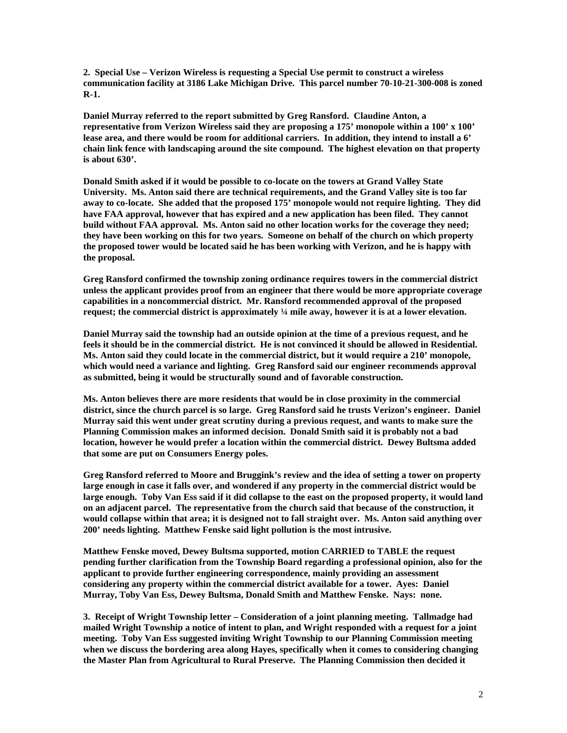**2. Special Use – Verizon Wireless is requesting a Special Use permit to construct a wireless communication facility at 3186 Lake Michigan Drive. This parcel number 70-10-21-300-008 is zoned R-1.** 

**Daniel Murray referred to the report submitted by Greg Ransford. Claudine Anton, a representative from Verizon Wireless said they are proposing a 175' monopole within a 100' x 100' lease area, and there would be room for additional carriers. In addition, they intend to install a 6' chain link fence with landscaping around the site compound. The highest elevation on that property is about 630'.** 

**Donald Smith asked if it would be possible to co-locate on the towers at Grand Valley State University. Ms. Anton said there are technical requirements, and the Grand Valley site is too far away to co-locate. She added that the proposed 175' monopole would not require lighting. They did have FAA approval, however that has expired and a new application has been filed. They cannot build without FAA approval. Ms. Anton said no other location works for the coverage they need; they have been working on this for two years. Someone on behalf of the church on which property the proposed tower would be located said he has been working with Verizon, and he is happy with the proposal.** 

**Greg Ransford confirmed the township zoning ordinance requires towers in the commercial district unless the applicant provides proof from an engineer that there would be more appropriate coverage capabilities in a noncommercial district. Mr. Ransford recommended approval of the proposed request; the commercial district is approximately ¼ mile away, however it is at a lower elevation.** 

**Daniel Murray said the township had an outside opinion at the time of a previous request, and he feels it should be in the commercial district. He is not convinced it should be allowed in Residential. Ms. Anton said they could locate in the commercial district, but it would require a 210' monopole, which would need a variance and lighting. Greg Ransford said our engineer recommends approval as submitted, being it would be structurally sound and of favorable construction.** 

**Ms. Anton believes there are more residents that would be in close proximity in the commercial district, since the church parcel is so large. Greg Ransford said he trusts Verizon's engineer. Daniel Murray said this went under great scrutiny during a previous request, and wants to make sure the Planning Commission makes an informed decision. Donald Smith said it is probably not a bad location, however he would prefer a location within the commercial district. Dewey Bultsma added that some are put on Consumers Energy poles.** 

**Greg Ransford referred to Moore and Bruggink's review and the idea of setting a tower on property large enough in case it falls over, and wondered if any property in the commercial district would be large enough. Toby Van Ess said if it did collapse to the east on the proposed property, it would land on an adjacent parcel. The representative from the church said that because of the construction, it would collapse within that area; it is designed not to fall straight over. Ms. Anton said anything over 200' needs lighting. Matthew Fenske said light pollution is the most intrusive.** 

**Matthew Fenske moved, Dewey Bultsma supported, motion CARRIED to TABLE the request pending further clarification from the Township Board regarding a professional opinion, also for the applicant to provide further engineering correspondence, mainly providing an assessment considering any property within the commercial district available for a tower. Ayes: Daniel Murray, Toby Van Ess, Dewey Bultsma, Donald Smith and Matthew Fenske. Nays: none.** 

**3. Receipt of Wright Township letter – Consideration of a joint planning meeting. Tallmadge had mailed Wright Township a notice of intent to plan, and Wright responded with a request for a joint meeting. Toby Van Ess suggested inviting Wright Township to our Planning Commission meeting when we discuss the bordering area along Hayes, specifically when it comes to considering changing the Master Plan from Agricultural to Rural Preserve. The Planning Commission then decided it**